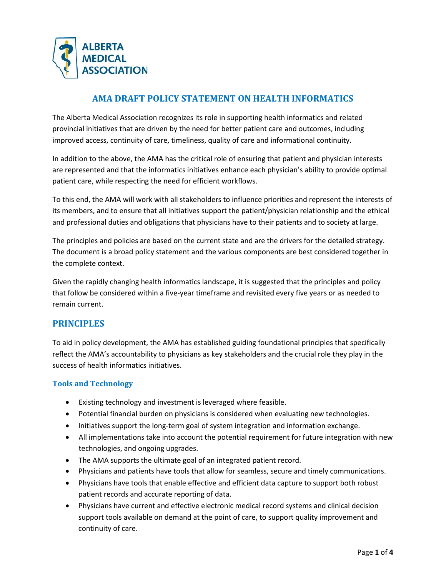

## **AMA DRAFT POLICY STATEMENT ON HEALTH INFORMATICS**

The Alberta Medical Association recognizes its role in supporting health informatics and related provincial initiatives that are driven by the need for better patient care and outcomes, including improved access, continuity of care, timeliness, quality of care and informational continuity.

In addition to the above, the AMA has the critical role of ensuring that patient and physician interests are represented and that the informatics initiatives enhance each physician's ability to provide optimal patient care, while respecting the need for efficient workflows.

To this end, the AMA will work with all stakeholders to influence priorities and represent the interests of its members, and to ensure that all initiatives support the patient/physician relationship and the ethical and professional duties and obligations that physicians have to their patients and to society at large.

The principles and policies are based on the current state and are the drivers for the detailed strategy. The document is a broad policy statement and the various components are best considered together in the complete context.

Given the rapidly changing health informatics landscape, it is suggested that the principles and policy that follow be considered within a five-year timeframe and revisited every five years or as needed to remain current.

## **PRINCIPLES**

To aid in policy development, the AMA has established guiding foundational principles that specifically reflect the AMA's accountability to physicians as key stakeholders and the crucial role they play in the success of health informatics initiatives.

## **Tools and Technology**

- Existing technology and investment is leveraged where feasible.
- Potential financial burden on physicians is considered when evaluating new technologies.
- Initiatives support the long-term goal of system integration and information exchange.
- All implementations take into account the potential requirement for future integration with new technologies, and ongoing upgrades.
- The AMA supports the ultimate goal of an integrated patient record.
- Physicians and patients have tools that allow for seamless, secure and timely communications.
- Physicians have tools that enable effective and efficient data capture to support both robust patient records and accurate reporting of data.
- Physicians have current and effective electronic medical record systems and clinical decision support tools available on demand at the point of care, to support quality improvement and continuity of care.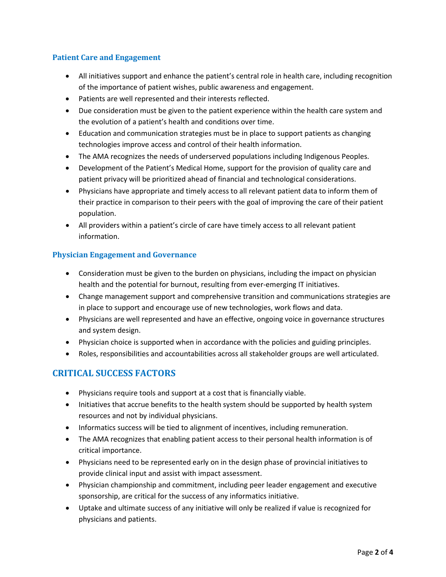## **Patient Care and Engagement**

- All initiatives support and enhance the patient's central role in health care, including recognition of the importance of patient wishes, public awareness and engagement.
- Patients are well represented and their interests reflected.
- Due consideration must be given to the patient experience within the health care system and the evolution of a patient's health and conditions over time.
- Education and communication strategies must be in place to support patients as changing technologies improve access and control of their health information.
- The AMA recognizes the needs of underserved populations including Indigenous Peoples.
- Development of the Patient's Medical Home, support for the provision of quality care and patient privacy will be prioritized ahead of financial and technological considerations.
- Physicians have appropriate and timely access to all relevant patient data to inform them of their practice in comparison to their peers with the goal of improving the care of their patient population.
- All providers within a patient's circle of care have timely access to all relevant patient information.

#### **Physician Engagement and Governance**

- Consideration must be given to the burden on physicians, including the impact on physician health and the potential for burnout, resulting from ever-emerging IT initiatives.
- Change management support and comprehensive transition and communications strategies are in place to support and encourage use of new technologies, work flows and data.
- Physicians are well represented and have an effective, ongoing voice in governance structures and system design.
- Physician choice is supported when in accordance with the policies and guiding principles.
- Roles, responsibilities and accountabilities across all stakeholder groups are well articulated.

## **CRITICAL SUCCESS FACTORS**

- Physicians require tools and support at a cost that is financially viable.
- Initiatives that accrue benefits to the health system should be supported by health system resources and not by individual physicians.
- Informatics success will be tied to alignment of incentives, including remuneration.
- The AMA recognizes that enabling patient access to their personal health information is of critical importance.
- Physicians need to be represented early on in the design phase of provincial initiatives to provide clinical input and assist with impact assessment.
- Physician championship and commitment, including peer leader engagement and executive sponsorship, are critical for the success of any informatics initiative.
- Uptake and ultimate success of any initiative will only be realized if value is recognized for physicians and patients.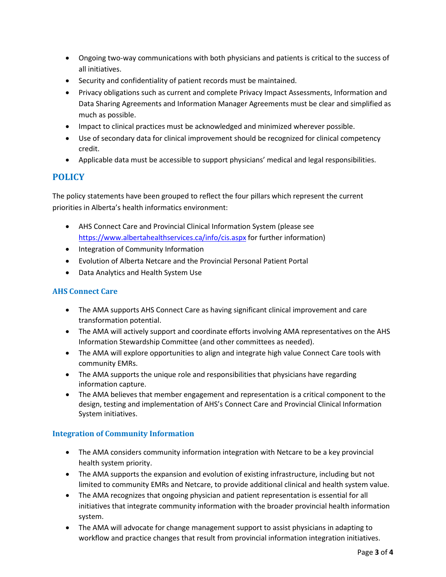- Ongoing two-way communications with both physicians and patients is critical to the success of all initiatives.
- Security and confidentiality of patient records must be maintained.
- Privacy obligations such as current and complete Privacy Impact Assessments, Information and Data Sharing Agreements and Information Manager Agreements must be clear and simplified as much as possible.
- Impact to clinical practices must be acknowledged and minimized wherever possible.
- Use of secondary data for clinical improvement should be recognized for clinical competency credit.
- Applicable data must be accessible to support physicians' medical and legal responsibilities.

# **POLICY**

The policy statements have been grouped to reflect the four pillars which represent the current priorities in Alberta's health informatics environment:

- AHS Connect Care and Provincial Clinical Information System (please see <https://www.albertahealthservices.ca/info/cis.aspx> for further information)
- Integration of Community Information
- Evolution of Alberta Netcare and the Provincial Personal Patient Portal
- Data Analytics and Health System Use

## **AHS Connect Care**

- The AMA supports AHS Connect Care as having significant clinical improvement and care transformation potential.
- The AMA will actively support and coordinate efforts involving AMA representatives on the AHS Information Stewardship Committee (and other committees as needed).
- The AMA will explore opportunities to align and integrate high value Connect Care tools with community EMRs.
- The AMA supports the unique role and responsibilities that physicians have regarding information capture.
- The AMA believes that member engagement and representation is a critical component to the design, testing and implementation of AHS's Connect Care and Provincial Clinical Information System initiatives.

#### **Integration of Community Information**

- The AMA considers community information integration with Netcare to be a key provincial health system priority.
- The AMA supports the expansion and evolution of existing infrastructure, including but not limited to community EMRs and Netcare, to provide additional clinical and health system value.
- The AMA recognizes that ongoing physician and patient representation is essential for all initiatives that integrate community information with the broader provincial health information system.
- The AMA will advocate for change management support to assist physicians in adapting to workflow and practice changes that result from provincial information integration initiatives.